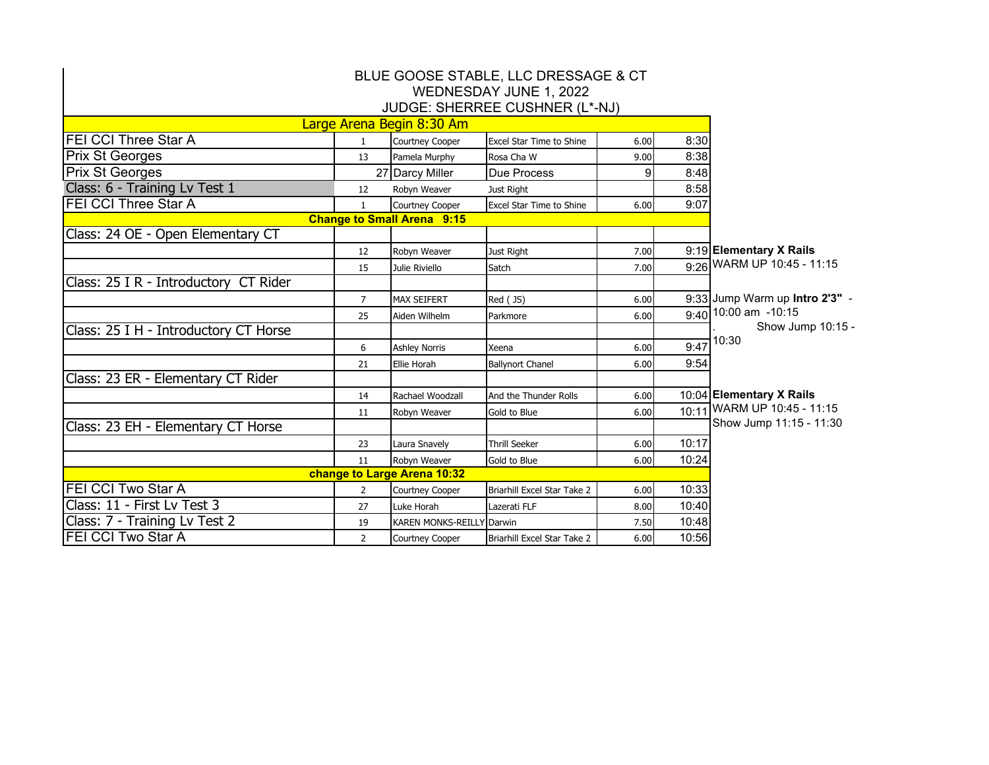| BLUE GOOSE STABLE, LLC DRESSAGE & CT<br>WEDNESDAY JUNE 1, 2022<br>JUDGE: SHERREE CUSHNER (L*-NJ) |                |                                  |                                               |              |              |                                |  |  |  |  |  |
|--------------------------------------------------------------------------------------------------|----------------|----------------------------------|-----------------------------------------------|--------------|--------------|--------------------------------|--|--|--|--|--|
|                                                                                                  |                | Large Arena Begin 8:30 Am        |                                               |              |              |                                |  |  |  |  |  |
| <b>FEI CCI Three Star A</b>                                                                      | $\mathbf{1}$   | Courtney Cooper                  |                                               |              |              |                                |  |  |  |  |  |
| <b>Prix St Georges</b>                                                                           | 13             | Pamela Murphy                    | <b>Excel Star Time to Shine</b><br>Rosa Cha W | 6.00<br>9.00 | 8:30<br>8:38 |                                |  |  |  |  |  |
| <b>Prix St Georges</b>                                                                           |                | 27 Darcy Miller                  | Due Process                                   | 9            | 8:48         |                                |  |  |  |  |  |
| Class: 6 - Training Lv Test 1                                                                    | 12             | Robyn Weaver                     | Just Right                                    |              | 8:58         |                                |  |  |  |  |  |
| <b>FEI CCI Three Star A</b>                                                                      | $\mathbf{1}$   | Courtney Cooper                  | Excel Star Time to Shine                      | 6.00         | 9:07         |                                |  |  |  |  |  |
| <b>Change to Small Arena 9:15</b>                                                                |                |                                  |                                               |              |              |                                |  |  |  |  |  |
| Class: 24 OE - Open Elementary CT                                                                |                |                                  |                                               |              |              |                                |  |  |  |  |  |
|                                                                                                  | 12             | Robyn Weaver                     | Just Right                                    | 7.00         |              | 9:19 Elementary X Rails        |  |  |  |  |  |
|                                                                                                  | 15             | Julie Riviello                   | Satch                                         | 7.00         |              | 9:26 WARM UP 10:45 - 11:15     |  |  |  |  |  |
| Class: 25 I R - Introductory CT Rider                                                            |                |                                  |                                               |              |              |                                |  |  |  |  |  |
|                                                                                                  | 7              | <b>MAX SEIFERT</b>               | Red (JS)                                      | 6.00         |              | 9:33 Jump Warm up Intro 2'3" - |  |  |  |  |  |
|                                                                                                  | 25             | Aiden Wilhelm                    | Parkmore                                      | 6.00         |              | $9:40$ 10:00 am -10:15         |  |  |  |  |  |
| Class: 25 I H - Introductory CT Horse                                                            |                |                                  |                                               |              |              | Show Jump 10:15 -<br>10:30     |  |  |  |  |  |
|                                                                                                  | 6              | <b>Ashley Norris</b>             | Xeena                                         | 6.00         | 9:47         |                                |  |  |  |  |  |
|                                                                                                  | 21             | <b>Ellie Horah</b>               | <b>Ballynort Chanel</b>                       | 6.00         | 9:54         |                                |  |  |  |  |  |
| Class: 23 ER - Elementary CT Rider                                                               |                |                                  |                                               |              |              |                                |  |  |  |  |  |
|                                                                                                  | 14             | Rachael Woodzall                 | And the Thunder Rolls                         | 6.00         |              | 10:04 Elementary X Rails       |  |  |  |  |  |
|                                                                                                  | 11             | Robyn Weaver                     | Gold to Blue                                  | 6.00         |              | 10:11 WARM UP 10:45 - 11:15    |  |  |  |  |  |
| Class: 23 EH - Elementary CT Horse                                                               |                |                                  |                                               |              |              | Show Jump 11:15 - 11:30        |  |  |  |  |  |
|                                                                                                  | 23             | Laura Snavely                    | <b>Thrill Seeker</b>                          | 6.00         | 10:17        |                                |  |  |  |  |  |
|                                                                                                  | 11             | Robyn Weaver                     | Gold to Blue                                  | 6.00         | 10:24        |                                |  |  |  |  |  |
|                                                                                                  |                | change to Large Arena 10:32      |                                               |              |              |                                |  |  |  |  |  |
| <b>FEI CCI Two Star A</b>                                                                        | $\overline{2}$ | <b>Courtney Cooper</b>           | Briarhill Excel Star Take 2                   | 6.00         | 10:33        |                                |  |  |  |  |  |
| Class: 11 - First Lv Test 3                                                                      | 27             | Luke Horah                       | Lazerati FLF                                  | 8.00         | 10:40        |                                |  |  |  |  |  |
| Class: 7 - Training Lv Test 2                                                                    | 19             | <b>KAREN MONKS-REILLY Darwin</b> |                                               | 7.50         | 10:48        |                                |  |  |  |  |  |
| FEI CCI Two Star A                                                                               | $\overline{2}$ | Courtney Cooper                  | Briarhill Excel Star Take 2                   | 6.00         | 10:56        |                                |  |  |  |  |  |